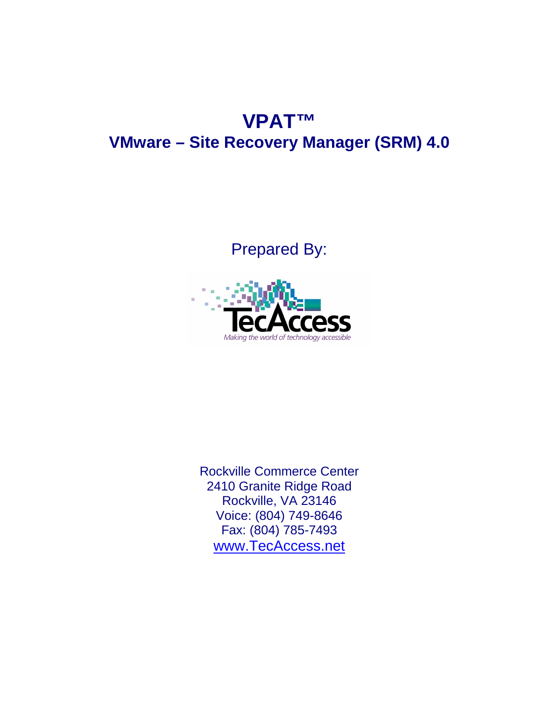## **VPAT™ VMware – Site Recovery Manager (SRM) 4.0**

Prepared By:



Rockville Commerce Center 2410 Granite Ridge Road Rockville, VA 23146 Voice: (804) 749-8646 Fax: (804) 785-7493 www.TecAccess.net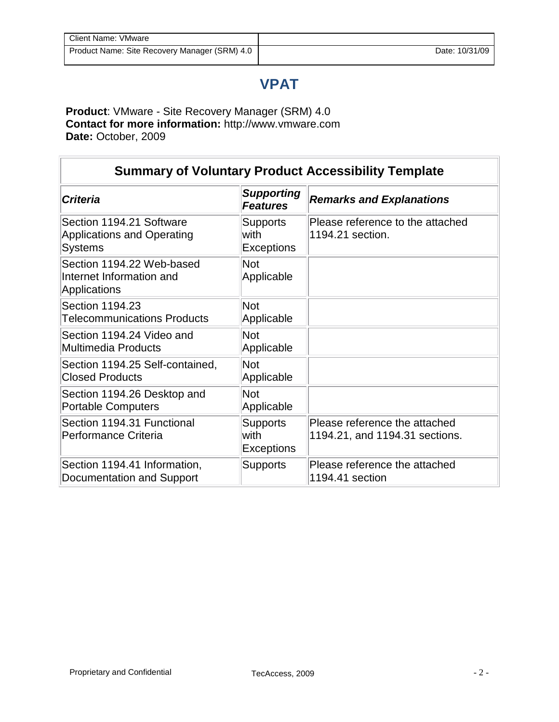## **VPAT**

**Product**: VMware - Site Recovery Manager (SRM) 4.0 **Contact for more information:** http://www.vmware.com **Date:** October, 2009

| <b>Summary of Voluntary Product Accessibility Template</b>               |                                              |                                                                 |
|--------------------------------------------------------------------------|----------------------------------------------|-----------------------------------------------------------------|
| <b>Criteria</b>                                                          | <b>Supporting</b><br><b>Features</b>         | <b>Remarks and Explanations</b>                                 |
| Section 1194.21 Software<br>Applications and Operating<br><b>Systems</b> | <b>Supports</b><br>with<br><b>Exceptions</b> | Please reference to the attached<br>1194.21 section.            |
| Section 1194.22 Web-based<br>Internet Information and<br>Applications    | <b>Not</b><br>Applicable                     |                                                                 |
| Section 1194.23<br><b>Telecommunications Products</b>                    | <b>Not</b><br>Applicable                     |                                                                 |
| Section 1194.24 Video and<br>Multimedia Products                         | <b>Not</b><br>Applicable                     |                                                                 |
| Section 1194.25 Self-contained,<br><b>Closed Products</b>                | <b>Not</b><br>Applicable                     |                                                                 |
| Section 1194.26 Desktop and<br><b>Portable Computers</b>                 | <b>Not</b><br>Applicable                     |                                                                 |
| Section 1194.31 Functional<br>Performance Criteria                       | <b>Supports</b><br>with<br><b>Exceptions</b> | Please reference the attached<br>1194.21, and 1194.31 sections. |
| Section 1194.41 Information,<br>Documentation and Support                | <b>Supports</b>                              | Please reference the attached<br>1194.41 section                |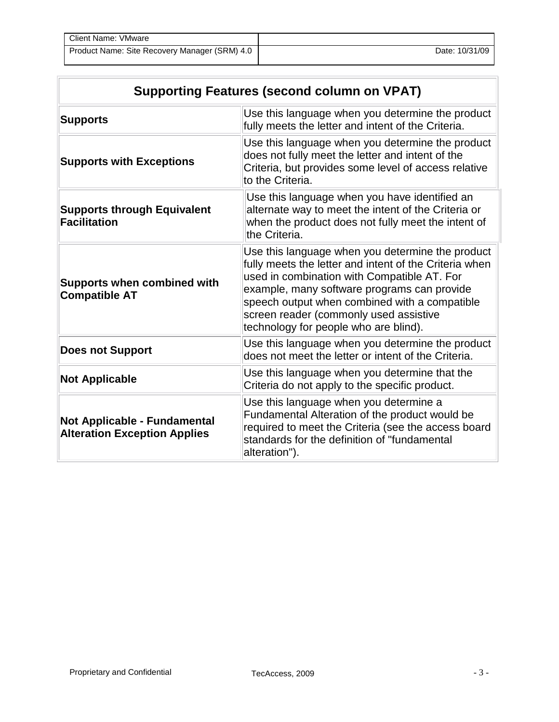| <b>Client Name: VMware</b>                    |                |
|-----------------------------------------------|----------------|
| Product Name: Site Recovery Manager (SRM) 4.0 | Date: 10/31/09 |

| <b>Supporting Features (second column on VPAT)</b>                  |                                                                                                                                                                                                                                                                                                                                              |  |
|---------------------------------------------------------------------|----------------------------------------------------------------------------------------------------------------------------------------------------------------------------------------------------------------------------------------------------------------------------------------------------------------------------------------------|--|
| <b>Supports</b>                                                     | Use this language when you determine the product<br>fully meets the letter and intent of the Criteria.                                                                                                                                                                                                                                       |  |
| <b>Supports with Exceptions</b>                                     | Use this language when you determine the product<br>does not fully meet the letter and intent of the<br>Criteria, but provides some level of access relative<br>to the Criteria.                                                                                                                                                             |  |
| <b>Supports through Equivalent</b><br><b>Facilitation</b>           | Use this language when you have identified an<br>alternate way to meet the intent of the Criteria or<br>when the product does not fully meet the intent of<br>the Criteria.                                                                                                                                                                  |  |
| <b>Supports when combined with</b><br><b>Compatible AT</b>          | Use this language when you determine the product<br>fully meets the letter and intent of the Criteria when<br>used in combination with Compatible AT. For<br>example, many software programs can provide<br>speech output when combined with a compatible<br>screen reader (commonly used assistive<br>technology for people who are blind). |  |
| <b>Does not Support</b>                                             | Use this language when you determine the product<br>does not meet the letter or intent of the Criteria.                                                                                                                                                                                                                                      |  |
| <b>Not Applicable</b>                                               | Use this language when you determine that the<br>Criteria do not apply to the specific product.                                                                                                                                                                                                                                              |  |
| Not Applicable - Fundamental<br><b>Alteration Exception Applies</b> | Use this language when you determine a<br>Fundamental Alteration of the product would be<br>required to meet the Criteria (see the access board<br>standards for the definition of "fundamental<br>alteration").                                                                                                                             |  |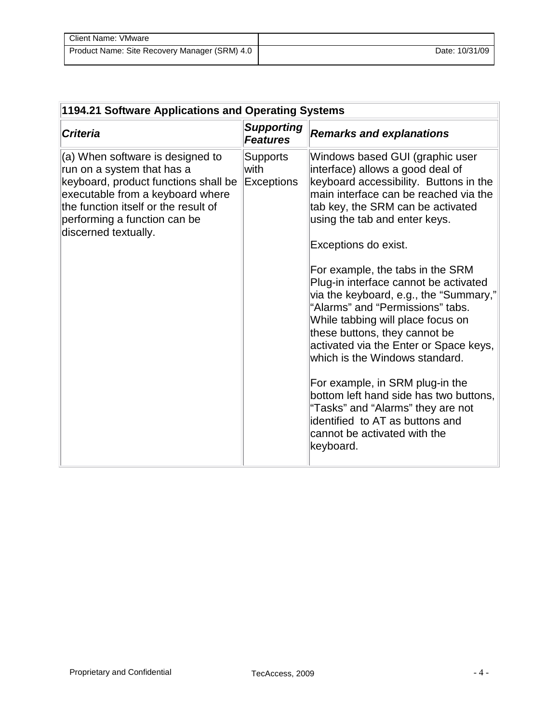| Client Name: VMware                           |                |
|-----------------------------------------------|----------------|
| Product Name: Site Recovery Manager (SRM) 4.0 | Date: 10/31/09 |

| 1194.21 Software Applications and Operating Systems                                                                                                                                                                                        |                                       |                                                                                                                                                                                                                                                                                                                                                                                                                                                                                                                                                                                                                                                                                                                                                                     |
|--------------------------------------------------------------------------------------------------------------------------------------------------------------------------------------------------------------------------------------------|---------------------------------------|---------------------------------------------------------------------------------------------------------------------------------------------------------------------------------------------------------------------------------------------------------------------------------------------------------------------------------------------------------------------------------------------------------------------------------------------------------------------------------------------------------------------------------------------------------------------------------------------------------------------------------------------------------------------------------------------------------------------------------------------------------------------|
| <b>Criteria</b>                                                                                                                                                                                                                            | <b>Supporting</b><br><b>Features</b>  | <b>Remarks and explanations</b>                                                                                                                                                                                                                                                                                                                                                                                                                                                                                                                                                                                                                                                                                                                                     |
| (a) When software is designed to<br>run on a system that has a<br>keyboard, product functions shall be<br>executable from a keyboard where<br>the function itself or the result of<br>performing a function can be<br>discerned textually. | <b>Supports</b><br>with<br>Exceptions | Windows based GUI (graphic user<br>interface) allows a good deal of<br>keyboard accessibility. Buttons in the<br>main interface can be reached via the<br>tab key, the SRM can be activated<br>using the tab and enter keys.<br>Exceptions do exist.<br>For example, the tabs in the SRM<br>Plug-in interface cannot be activated<br>via the keyboard, e.g., the "Summary,"<br>"Alarms" and "Permissions" tabs.<br>While tabbing will place focus on<br>these buttons, they cannot be<br>activated via the Enter or Space keys,<br>which is the Windows standard.<br>For example, in SRM plug-in the<br>bottom left hand side has two buttons,<br>"Tasks" and "Alarms" they are not<br>identified to AT as buttons and<br>cannot be activated with the<br>keyboard. |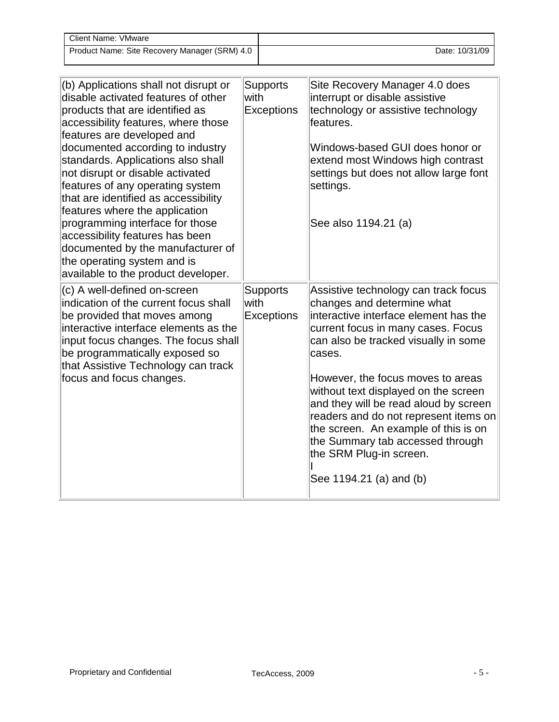| Client Name: VMware                           |                |
|-----------------------------------------------|----------------|
| Product Name: Site Recovery Manager (SRM) 4.0 | Date: 10/31/09 |

| (b) Applications shall not disrupt or<br>disable activated features of other<br>products that are identified as<br>accessibility features, where those<br>features are developed and<br>documented according to industry<br>standards. Applications also shall<br>not disrupt or disable activated<br>features of any operating system<br>that are identified as accessibility<br>features where the application<br>programming interface for those<br>accessibility features has been<br>documented by the manufacturer of<br>the operating system and is<br>available to the product developer. | <b>Supports</b><br>with<br><b>Exceptions</b> | Site Recovery Manager 4.0 does<br>interrupt or disable assistive<br>technology or assistive technology<br>features.<br>Windows-based GUI does honor or<br>extend most Windows high contrast<br>settings but does not allow large font<br>settings.<br>See also 1194.21 (a)                                                                                                                                                                                                                           |
|---------------------------------------------------------------------------------------------------------------------------------------------------------------------------------------------------------------------------------------------------------------------------------------------------------------------------------------------------------------------------------------------------------------------------------------------------------------------------------------------------------------------------------------------------------------------------------------------------|----------------------------------------------|------------------------------------------------------------------------------------------------------------------------------------------------------------------------------------------------------------------------------------------------------------------------------------------------------------------------------------------------------------------------------------------------------------------------------------------------------------------------------------------------------|
| (c) A well-defined on-screen<br>indication of the current focus shall<br>be provided that moves among<br>interactive interface elements as the<br>input focus changes. The focus shall<br>be programmatically exposed so<br>that Assistive Technology can track<br>focus and focus changes.                                                                                                                                                                                                                                                                                                       | <b>Supports</b><br>with<br><b>Exceptions</b> | Assistive technology can track focus<br>changes and determine what<br>interactive interface element has the<br>current focus in many cases. Focus<br>can also be tracked visually in some<br>cases.<br>However, the focus moves to areas<br>without text displayed on the screen<br>and they will be read aloud by screen<br>readers and do not represent items on<br>the screen. An example of this is on<br>the Summary tab accessed through<br>the SRM Plug-in screen.<br>See 1194.21 (a) and (b) |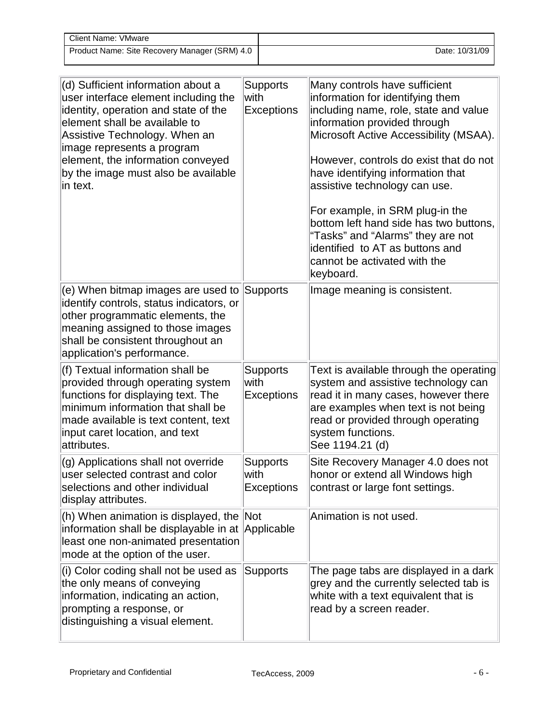| Client Name: VMware                           |                |
|-----------------------------------------------|----------------|
| Product Name: Site Recovery Manager (SRM) 4.0 | Date: 10/31/09 |

| (d) Sufficient information about a<br>user interface element including the<br>identity, operation and state of the<br>element shall be available to<br>Assistive Technology. When an<br>image represents a program<br>element, the information conveyed<br>by the image must also be available<br>in text. | <b>Supports</b><br>with<br><b>Exceptions</b> | Many controls have sufficient<br>information for identifying them<br>including name, role, state and value<br>information provided through<br>Microsoft Active Accessibility (MSAA).<br>However, controls do exist that do not<br>have identifying information that<br>assistive technology can use.<br>For example, in SRM plug-in the<br>bottom left hand side has two buttons,<br>"Tasks" and "Alarms" they are not<br>identified to AT as buttons and<br>cannot be activated with the<br>keyboard. |
|------------------------------------------------------------------------------------------------------------------------------------------------------------------------------------------------------------------------------------------------------------------------------------------------------------|----------------------------------------------|--------------------------------------------------------------------------------------------------------------------------------------------------------------------------------------------------------------------------------------------------------------------------------------------------------------------------------------------------------------------------------------------------------------------------------------------------------------------------------------------------------|
| (e) When bitmap images are used to<br>identify controls, status indicators, or<br>other programmatic elements, the<br>meaning assigned to those images<br>shall be consistent throughout an<br>application's performance.                                                                                  | <b>Supports</b>                              | Image meaning is consistent.                                                                                                                                                                                                                                                                                                                                                                                                                                                                           |
| (f) Textual information shall be<br>provided through operating system<br>functions for displaying text. The<br>minimum information that shall be<br>made available is text content, text<br>input caret location, and text<br>attributes.                                                                  | <b>Supports</b><br>with<br><b>Exceptions</b> | Text is available through the operating<br>system and assistive technology can<br>read it in many cases, however there<br>are examples when text is not being<br>read or provided through operating<br>system functions.<br>See 1194.21 (d)                                                                                                                                                                                                                                                            |
| (g) Applications shall not override<br>user selected contrast and color<br>selections and other individual<br>display attributes.                                                                                                                                                                          | <b>Supports</b><br>with<br><b>Exceptions</b> | Site Recovery Manager 4.0 does not<br>honor or extend all Windows high<br>contrast or large font settings.                                                                                                                                                                                                                                                                                                                                                                                             |
| (h) When animation is displayed, the<br>information shall be displayable in at Applicable<br>least one non-animated presentation<br>mode at the option of the user.                                                                                                                                        | <b>Not</b>                                   | Animation is not used.                                                                                                                                                                                                                                                                                                                                                                                                                                                                                 |
| (i) Color coding shall not be used as<br>the only means of conveying<br>information, indicating an action,<br>prompting a response, or<br>distinguishing a visual element.                                                                                                                                 | <b>Supports</b>                              | The page tabs are displayed in a dark<br>grey and the currently selected tab is<br>white with a text equivalent that is<br>read by a screen reader.                                                                                                                                                                                                                                                                                                                                                    |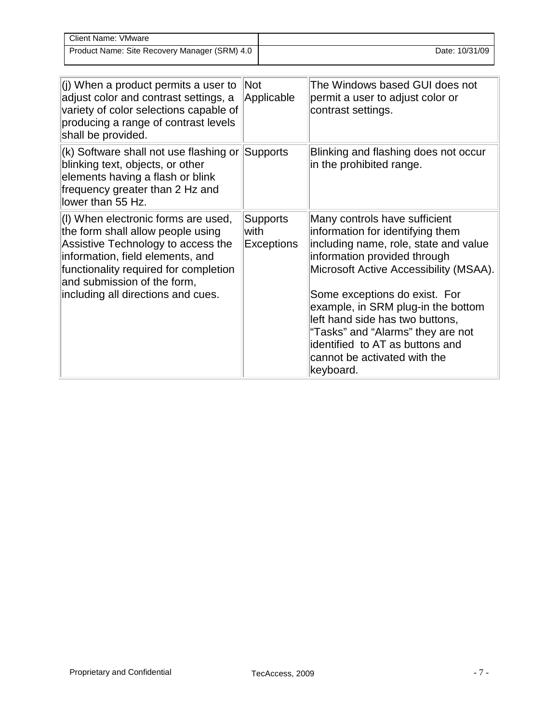| <b>Client Name: VMware</b>                    |                |
|-----------------------------------------------|----------------|
| Product Name: Site Recovery Manager (SRM) 4.0 | Date: 10/31/09 |

| (j) When a product permits a user to<br>adjust color and contrast settings, a<br>variety of color selections capable of<br>producing a range of contrast levels<br>shall be provided.                                                                            | Not<br>Applicable                            | The Windows based GUI does not<br>permit a user to adjust color or<br>contrast settings.                                                                                                                                                                                                                                                                                                                            |
|------------------------------------------------------------------------------------------------------------------------------------------------------------------------------------------------------------------------------------------------------------------|----------------------------------------------|---------------------------------------------------------------------------------------------------------------------------------------------------------------------------------------------------------------------------------------------------------------------------------------------------------------------------------------------------------------------------------------------------------------------|
| (k) Software shall not use flashing or Supports<br>blinking text, objects, or other<br>elements having a flash or blink<br>frequency greater than 2 Hz and<br>lower than 55 Hz.                                                                                  |                                              | Blinking and flashing does not occur<br>in the prohibited range.                                                                                                                                                                                                                                                                                                                                                    |
| (I) When electronic forms are used,<br>the form shall allow people using<br>Assistive Technology to access the<br>information, field elements, and<br>functionality required for completion<br>and submission of the form,<br>including all directions and cues. | <b>Supports</b><br>with<br><b>Exceptions</b> | Many controls have sufficient<br>information for identifying them<br>including name, role, state and value<br>information provided through<br>Microsoft Active Accessibility (MSAA).<br>Some exceptions do exist. For<br>example, in SRM plug-in the bottom<br>left hand side has two buttons,<br>"Tasks" and "Alarms" they are not<br>identified to AT as buttons and<br>cannot be activated with the<br>keyboard. |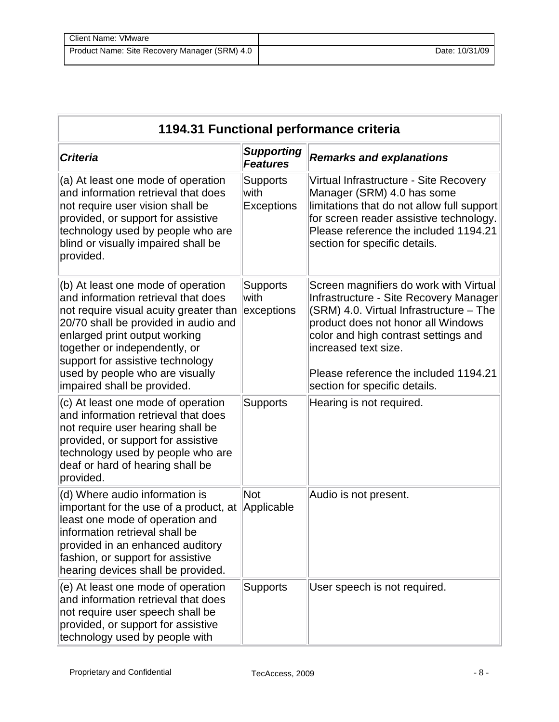| Client Name: VMware                           |                |
|-----------------------------------------------|----------------|
| Product Name: Site Recovery Manager (SRM) 4.0 | Date: 10/31/09 |

| 1194.31 Functional performance criteria                                                                                                                                                                                                                                                                                             |                                       |                                                                                                                                                                                                                                                                                                             |  |  |
|-------------------------------------------------------------------------------------------------------------------------------------------------------------------------------------------------------------------------------------------------------------------------------------------------------------------------------------|---------------------------------------|-------------------------------------------------------------------------------------------------------------------------------------------------------------------------------------------------------------------------------------------------------------------------------------------------------------|--|--|
| <b>Criteria</b>                                                                                                                                                                                                                                                                                                                     | <b>Supporting</b><br><b>Features</b>  | <b>Remarks and explanations</b>                                                                                                                                                                                                                                                                             |  |  |
| (a) At least one mode of operation<br>and information retrieval that does<br>not require user vision shall be<br>provided, or support for assistive<br>technology used by people who are<br>blind or visually impaired shall be<br>provided.                                                                                        | <b>Supports</b><br>with<br>Exceptions | Virtual Infrastructure - Site Recovery<br>Manager (SRM) 4.0 has some<br>limitations that do not allow full support<br>for screen reader assistive technology.<br>Please reference the included 1194.21<br>section for specific details.                                                                     |  |  |
| (b) At least one mode of operation<br>and information retrieval that does<br>not require visual acuity greater than<br>20/70 shall be provided in audio and<br>enlarged print output working<br>together or independently, or<br>support for assistive technology<br>used by people who are visually<br>impaired shall be provided. | <b>Supports</b><br>with<br>exceptions | Screen magnifiers do work with Virtual<br>Infrastructure - Site Recovery Manager<br>(SRM) 4.0. Virtual Infrastructure - The<br>product does not honor all Windows<br>color and high contrast settings and<br>increased text size.<br>Please reference the included 1194.21<br>section for specific details. |  |  |
| (c) At least one mode of operation<br>and information retrieval that does<br>not require user hearing shall be<br>provided, or support for assistive<br>technology used by people who are<br>deaf or hard of hearing shall be<br>provided.                                                                                          | <b>Supports</b>                       | Hearing is not required.                                                                                                                                                                                                                                                                                    |  |  |
| (d) Where audio information is<br>important for the use of a product, at<br>least one mode of operation and<br>information retrieval shall be<br>provided in an enhanced auditory<br>fashion, or support for assistive<br>hearing devices shall be provided.                                                                        | <b>Not</b><br>Applicable              | Audio is not present.                                                                                                                                                                                                                                                                                       |  |  |
| (e) At least one mode of operation<br>and information retrieval that does<br>not require user speech shall be<br>provided, or support for assistive<br>technology used by people with                                                                                                                                               | <b>Supports</b>                       | User speech is not required.                                                                                                                                                                                                                                                                                |  |  |